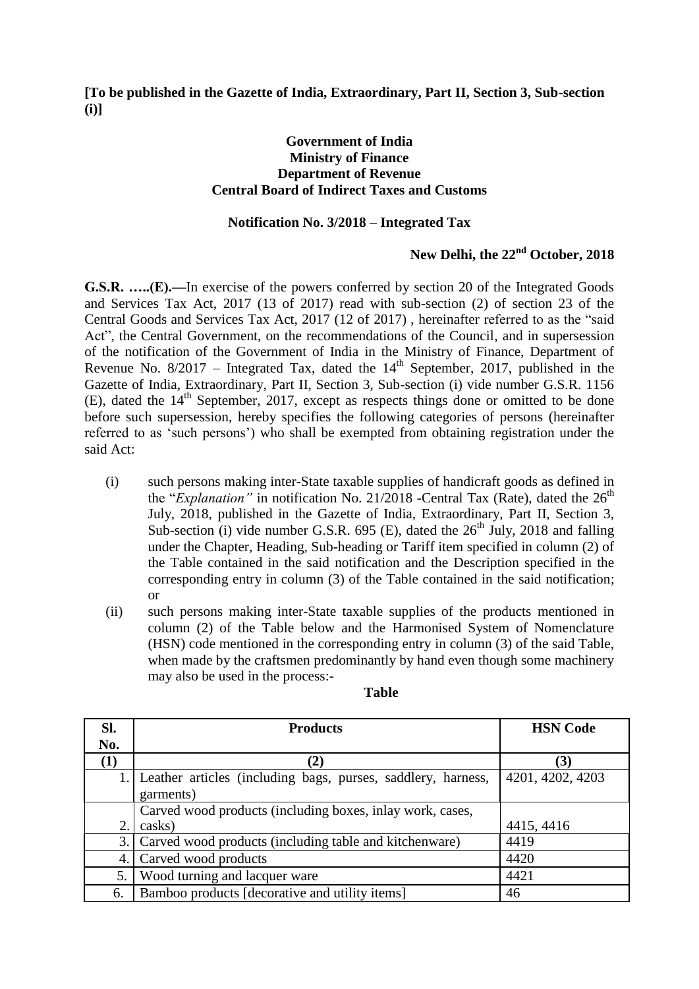**[To be published in the Gazette of India, Extraordinary, Part II, Section 3, Sub-section (i)]** 

## **Government of India Ministry of Finance Department of Revenue Central Board of Indirect Taxes and Customs**

## **Notification No. 3/2018 – Integrated Tax**

## **New Delhi, the 22nd October, 2018**

**G.S.R. …..(E).—**In exercise of the powers conferred by section 20 of the Integrated Goods and Services Tax Act, 2017 (13 of 2017) read with sub-section (2) of section 23 of the Central Goods and Services Tax Act, 2017 (12 of 2017) , hereinafter referred to as the "said Act", the Central Government, on the recommendations of the Council, and in supersession of the notification of the Government of India in the Ministry of Finance, Department of Revenue No.  $8/2017$  – Integrated Tax, dated the  $14<sup>th</sup>$  September, 2017, published in the Gazette of India, Extraordinary, Part II, Section 3, Sub-section (i) vide number G.S.R. 1156  $(E)$ , dated the  $14<sup>th</sup>$  September, 2017, except as respects things done or omitted to be done before such supersession, hereby specifies the following categories of persons (hereinafter referred to as "such persons") who shall be exempted from obtaining registration under the said Act:

- (i) such persons making inter-State taxable supplies of handicraft goods as defined in the "*Explanation*" in notification No. 21/2018 -Central Tax (Rate), dated the 26<sup>th</sup> July, 2018, published in the Gazette of India, Extraordinary, Part II, Section 3, Sub-section (i) vide number G.S.R. 695 (E), dated the  $26<sup>th</sup>$  July, 2018 and falling under the Chapter, Heading, Sub-heading or Tariff item specified in column (2) of the Table contained in the said notification and the Description specified in the corresponding entry in column (3) of the Table contained in the said notification; or
- (ii) such persons making inter-State taxable supplies of the products mentioned in column (2) of the Table below and the Harmonised System of Nomenclature (HSN) code mentioned in the corresponding entry in column (3) of the said Table, when made by the craftsmen predominantly by hand even though some machinery may also be used in the process:-

| SI. | <b>Products</b>                                                 | <b>HSN</b> Code  |
|-----|-----------------------------------------------------------------|------------------|
| No. |                                                                 |                  |
| (1) | $\mathbf{2}$                                                    | (3)              |
|     | 1. Leather articles (including bags, purses, saddlery, harness, | 4201, 4202, 4203 |
|     | garments)                                                       |                  |
|     | Carved wood products (including boxes, inlay work, cases,       |                  |
| 2.  | casks)                                                          | 4415, 4416       |
|     | 3. Carved wood products (including table and kitchenware)       | 4419             |
|     | 4. Carved wood products                                         | 4420             |
| 5.  | Wood turning and lacquer ware                                   | 4421             |
| 6.  | Bamboo products [decorative and utility items]                  | 46               |

## **Table**